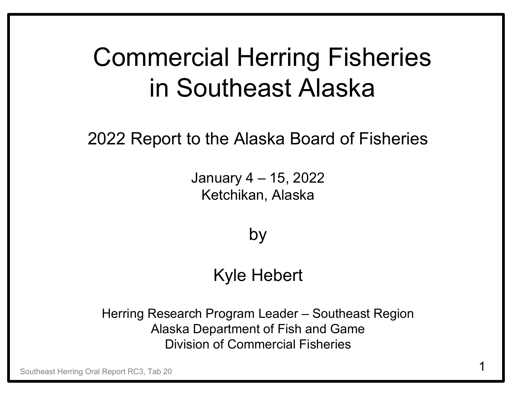### Commercial Herring Fisheries in Southeast Alaska

2022 Report to the Alaska Board of Fisheries

January 4 – 15, 2022 Ketchikan, Alaska

by

#### Kyle Hebert

Herring Research Program Leader – Southeast Region Alaska Department of Fish and Game Division of Commercial Fisheries

Southeast Herring Oral Report RC3, Tab 20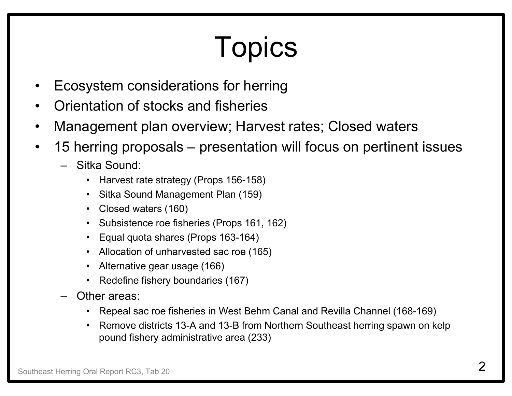# Topics

- •Ecosystem considerations for herring
- •Orientation of stocks and fisheries
- •Management plan overview; Harvest rates; Closed waters
- • 15 herring proposals – presentation will focus on pertinent issues
	- Sitka Sound:
		- Harvest rate strategy (Props 156-158)
		- Sitka Sound Management Plan (159)
		- Closed waters (160)
		- •Subsistence roe fisheries (Props 161, 162)
		- Equal quota shares (Props 163-164)
		- Allocation of unharvested sac roe (165)
		- •Alternative gear usage (166)
		- Redefine fishery boundaries (167)
	- – Other areas:
		- Repeal sac roe fisheries in West Behm Canal and Revilla Channel (168-169)
		- • Remove districts 13-A and 13-B from Northern Southeast herring spawn on kelp pound fishery administrative area (233)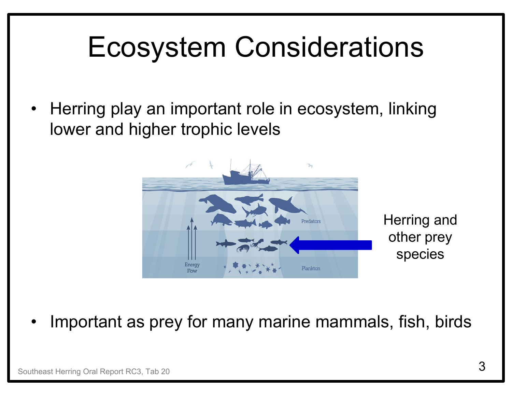### Ecosystem Considerations

• Herring play an important role in ecosystem, linking lower and higher trophic levels



•Important as prey for many marine mammals, fish, birds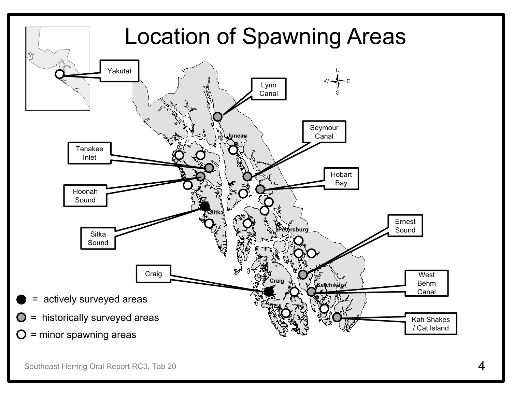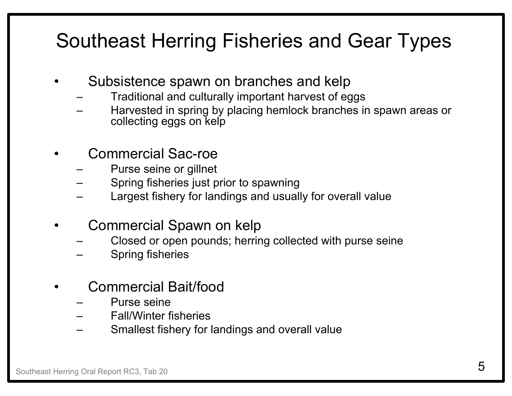#### Southeast Herring Fisheries and Gear Types

- • Subsistence spawn on branches and kelp
	- Traditional and culturally important harvest of eggs
	- Harvested in spring by placing hemlock branches in spawn areas or collecting eggs on kelp
- • Commercial Sac-roe
	- Purse seine or gillnet
	- Spring fisheries just prior to spawning
	- Largest fishery for landings and usually for overall value
- • Commercial Spawn on kelp
	- Closed or open pounds; herring collected with purse seine
	- Spring fisheries
- • Commercial Bait/food
	- Purse seine
	- Fall/Winter fisheries
	- Smallest fishery for landings and overall value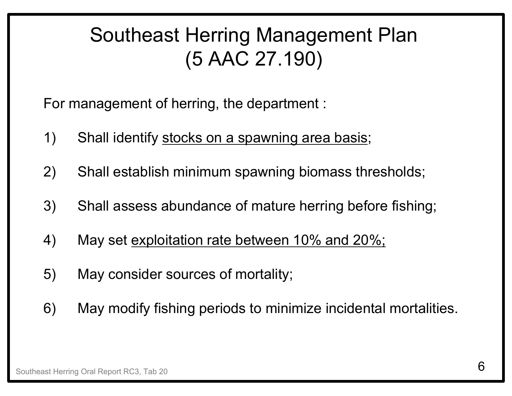#### Southeast Herring Management Plan (5 AAC 27.190)

For management of herring, the department :

- 1) Shall identify stocks on a spawning area basis;
- 2) Shall establish minimum spawning biomass thresholds;
- 3) Shall assess abundance of mature herring before fishing;
- 4) May set exploitation rate between 10% and 20%;
- 5) May consider sources of mortality;
- 6) May modify fishing periods to minimize incidental mortalities.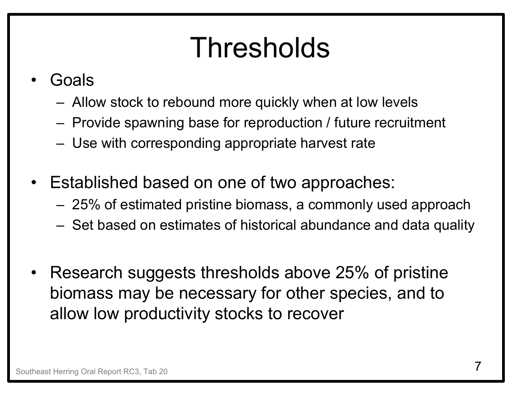## Thresholds

- • Goals
	- Allow stock to rebound more quickly when at low levels
	- Provide spawning base for reproduction / future recruitment
	- Use with corresponding appropriate harvest rate
- Established based on one of two approaches:
	- 25% of estimated pristine biomass, a commonly used approach
	- Set based on estimates of historical abundance and data quality
- Research suggests thresholds above 25% of pristine biomass may be necessary for other species, and to allow low productivity stocks to recover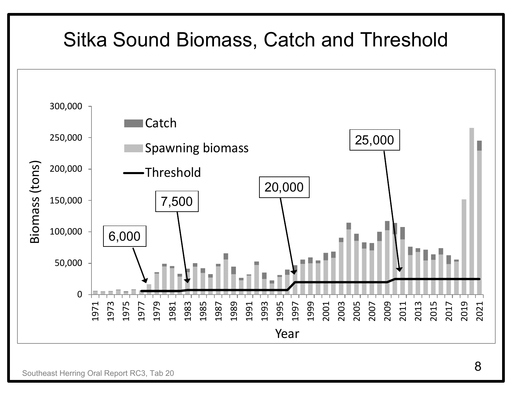#### Sitka Sound Biomass, Catch and Threshold



Southeast Herring Oral Report RC3, Tab 20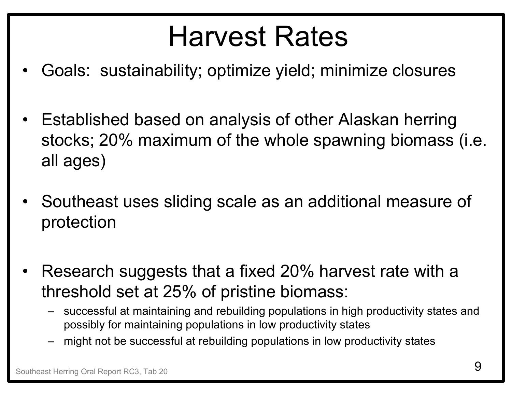## Harvest Rates

- •Goals: sustainability; optimize yield; minimize closures
- • Established based on analysis of other Alaskan herring stocks; 20% maximum of the whole spawning biomass (i.e. all ages)
- • Southeast uses sliding scale as an additional measure of protection
- • Research suggests that a fixed 20% harvest rate with a threshold set at 25% of pristine biomass:
	- successful at maintaining and rebuilding populations in high productivity states and possibly for maintaining populations in low productivity states
	- might not be successful at rebuilding populations in low productivity states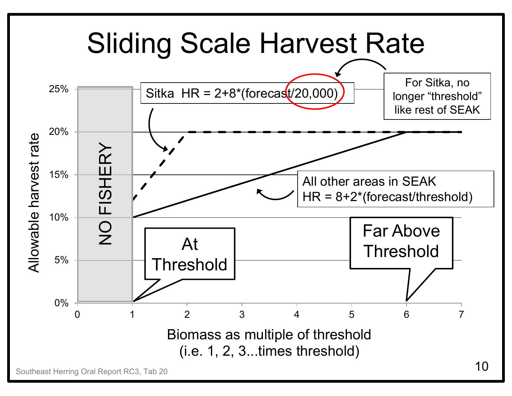